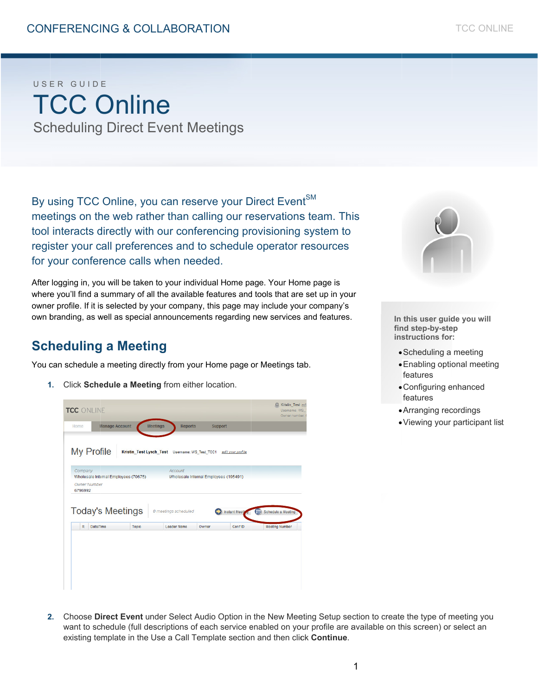# USER GUIDE TCC Online Scheduling Direct Event Meetings

By using TCC Online, you can reserve your Direct Event<sup>SM</sup> meetings on the web rather than calling our reservations team. This tool interacts directly with our conferencing provisioning system to register your call preferences and to schedule operator resources for your conference calls when needed.

After logging in, you will be taken to your individual Home page. Your Home page is where you'll find a summary of all the available features and tools that are set up in your owner profile. If it is selected by your company, this page may include your company's own branding, as well as special announcements regarding new services and features.

## **Scheduling a Meeting**

You can schedule a meeting directly from your Home page or Meetings tab.

1. Click **Schedule a Meeting** from either location.





In this user guide you will find step-by-step **ins structions for r:** 

- Scheduling a meeting
- Enabling optional meeting features
- Configuring enhanced features
- Arranging rec cordings
- Viewing your participant list

2. Choose Direct Event under Select Audio Option in the New Meeting Setup section to create the type of meeting you want to schedule (full descriptions of each service enabled on your profile are available on this screen) or select an existing template in the Use a Call Template section and then click **Continue**.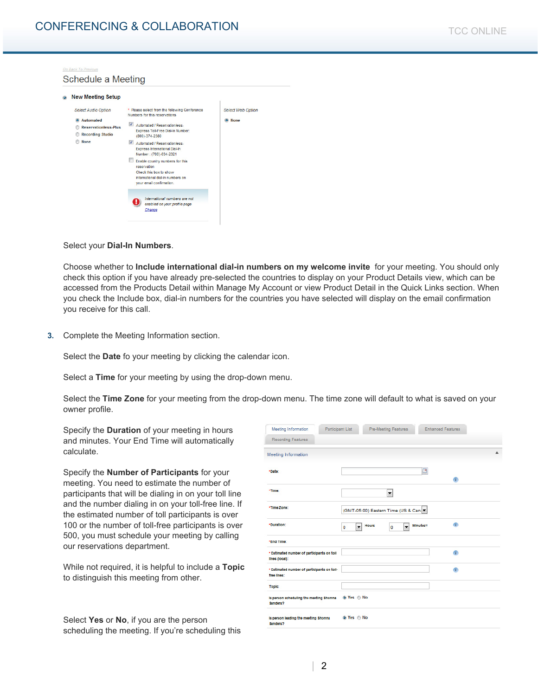

#### Select your **Dial-In Numbers**.

Choose whether to **Include international dial-in numbers on my welcome invite** for your meeting. You should only check this option if you have already pre-selected the countries to display on your Product Details view, which can be accessed from the Products Detail within Manage My Account or view Product Detail in the Quick Links section. When you check the Include box, dial-in numbers for the countries you have selected will display on the email confirmation you receive for this call.

**3.** Complete the Meeting Information section.

Select the **Date** fo your meeting by clicking the calendar icon.

Select a **Time** for your meeting by using the drop-down menu.

Select the **Time Zone** for your meeting from the drop-down menu. The time zone will default to what is saved on your owner profile.

Specify the **Duration** of your meeting in hours and minutes. Your End Time will automatically calculate.

Specify the **Number of Participants** for your meeting. You need to estimate the number of participants that will be dialing in on your toll line and the number dialing in on your toll-free line. If the estimated number of toll participants is over 100 or the number of toll-free participants is over 500, you must schedule your meeting by calling our reservations department.

While not required, it is helpful to include a **Topic** to distinguish this meeting from other.

Select **Yes** or **No**, if you are the person scheduling the meeting. If you're scheduling this

| Participant List<br>Meeting Information                      |                    |              | <b>Pre-Meeting Features</b>           |          | <b>Enhanced Features</b> |   |
|--------------------------------------------------------------|--------------------|--------------|---------------------------------------|----------|--------------------------|---|
| <b>Recording Features</b>                                    |                    |              |                                       |          |                          |   |
| Meeting Information                                          |                    |              |                                       |          |                          | ▲ |
| *Date:                                                       |                    |              |                                       | □        |                          |   |
|                                                              |                    |              |                                       |          | $\mathbb{R}$             |   |
| *Time:                                                       |                    |              | ۰                                     |          |                          |   |
| *Time Zone:                                                  |                    |              | (GMT-05:00) Eastern Time (US & Can. ▼ |          |                          |   |
| *Duration:                                                   | $\cdot$<br>$\circ$ | <b>Hours</b> | ō<br>$\overline{\phantom{a}}$         | Minutes= | $\bullet$                |   |
| *End Time:                                                   |                    |              |                                       |          |                          |   |
| * Estimated number of participants on toll<br>lines (local): |                    |              |                                       |          | œ                        |   |
| * Estimated number of participants on toll-<br>free lines:   |                    |              |                                       |          | æ                        |   |
| Topic:                                                       |                    |              |                                       |          |                          |   |
| is person scheduling the meeting Shonna<br>Sanders?          | <b>©</b> Yes ⊜ No  |              |                                       |          |                          |   |
| is person leading the meeting Shonna<br>Sanders?             | <b>©</b> Yes ⊜ No  |              |                                       |          |                          |   |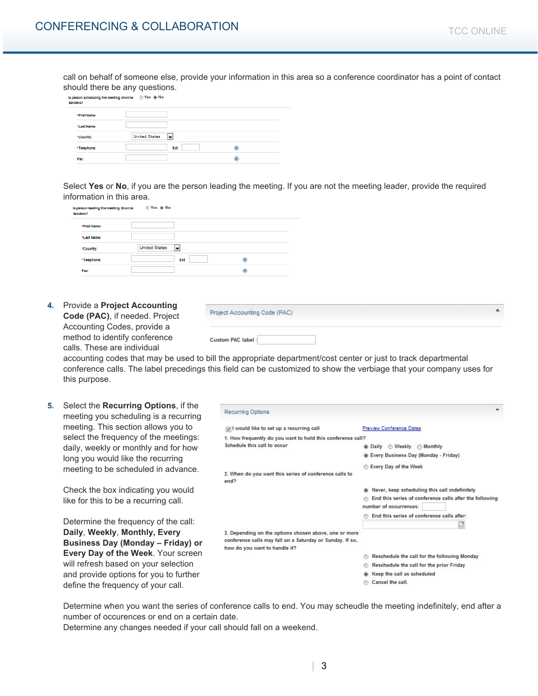call on behalf of someone else, provide your information in this area so a conference coordinator has a point of contact should there be any questions.

| *First Name: |                           |  |
|--------------|---------------------------|--|
| *Last Name:  |                           |  |
| *Country:    | ÷<br><b>United States</b> |  |
| *Telephone:  | <b>Ext.</b>               |  |

Select **Yes** or **No**, if you are the person leading the meeting. If you are not the meeting leader, provide the required information in this area.

| Sanders?      | is person leading the meeting Shonna | Yes o No                  |  |
|---------------|--------------------------------------|---------------------------|--|
|               | *First Name:                         |                           |  |
|               | *Last Name:                          |                           |  |
|               | *Country:                            | <b>United States</b><br>÷ |  |
|               | *Telephone:                          | <b>Ext.</b>               |  |
| $\frac{1}{2}$ | Fax:                                 |                           |  |

**4.** Provide a **Project Accounting Code (PAC)**, if needed. Project Accounting Codes, provide a method to identify conference calls. These are individual

| Project Accounting Code (PAC) |  |
|-------------------------------|--|
| <b>Custom PAC label:</b>      |  |

accounting codes that may be used to bill the appropriate department/cost center or just to track departmental conference calls. The label precedings this field can be customized to show the verbiage that your company uses for this purpose.

| 5. | Select the <b>Recurring Options</b> , if the<br>meeting you scheduling is a recurring | <b>Recurring Options</b>                                                                                                                            |                                                                                                                                    |
|----|---------------------------------------------------------------------------------------|-----------------------------------------------------------------------------------------------------------------------------------------------------|------------------------------------------------------------------------------------------------------------------------------------|
|    | meeting. This section allows you to<br>select the frequency of the meetings:          | vould like to set up a recurring call<br>1. How frequently do you want to hold this conference call?                                                | <b>Preview Conference Dates</b>                                                                                                    |
|    | daily, weekly or monthly and for how                                                  | Schedule this call to occur                                                                                                                         | <b>Weekly Monthly</b><br><b>O</b> Daily<br>@ Every Business Day (Monday - Friday)                                                  |
|    | long you would like the recurring<br>meeting to be scheduled in advance.              | 2. When do you want this series of conference calls to<br>end?                                                                                      | <b>Every Day of the Week</b>                                                                                                       |
|    | Check the box indicating you would<br>like for this to be a recurring call.           |                                                                                                                                                     | Never, keep scheduling this call indefinitely<br>End this series of conference calls after the following<br>number of occurrences: |
|    | Determine the frequency of the call:                                                  |                                                                                                                                                     | End this series of conference calls after:                                                                                         |
|    | Daily, Weekly, Monthly, Every<br>Business Day (Monday – Friday) or                    | 3. Depending on the options chosen above, one or more<br>conference calls may fall on a Saturday or Sunday. If so,<br>how do you want to handle it? |                                                                                                                                    |
|    | <b>Every Day of the Week. Your screen</b><br>will refresh based on your selection     |                                                                                                                                                     | Reschedule the call for the following Monday<br>Reschedule the call for the prior Friday                                           |
|    | and provide options for you to further<br>define the frequency of your call.          |                                                                                                                                                     | Keep the call as scheduled<br>Cancel the call.                                                                                     |

Determine when you want the series of conference calls to end. You may scheudle the meeting indefinitely, end after a number of occurences or end on a certain date.

Determine any changes needed if your call should fall on a weekend.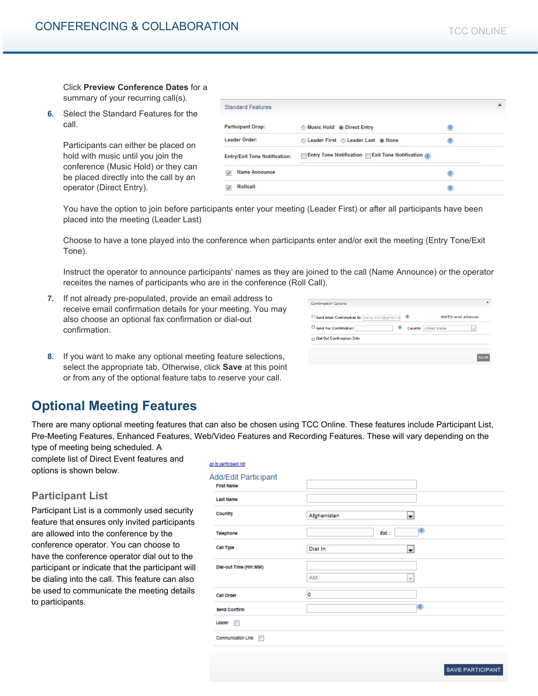Click **Preview Conference Dates** for a summary of your recurring call(s).

**6.** Select the Standard Features for the call.

> Participants can either be placed on hold with music until you join the conference (Music Hold) or they can be placed directly into the call by an operator (Direct Entry).

|                         | <b>Standard Features</b>             |                                                |   |  |
|-------------------------|--------------------------------------|------------------------------------------------|---|--|
|                         | <b>Participant Drop:</b>             | <b>Music Hold @ Direct Entry</b>               | T |  |
|                         | Leader Order:                        | C Leader First C Leader Last @ None            | ÷ |  |
|                         | <b>Entry/Exit Tone Notification:</b> | Entry Tone Notification Exit Tone Notification |   |  |
| $\overline{\mathbf{v}}$ | <b>Name Announce</b>                 |                                                |   |  |
| $\overline{v}$          | <b>Rollcall</b>                      |                                                | ï |  |

You have the option to join before participants enter your meeting (Leader First) or after all participants have been placed into the meeting (Leader Last)

Choose to have a tone played into the conference when participants enter and/or exit the meeting (Entry Tone/Exit Tone).

Instruct the operator to announce participants' names as they are joined to the call (Name Announce) or the operator receites the names of participants who are in the conference (Roll Call).

**7.** If not already pre-populated, provide an email address to receive email confirmation details for your meeting. You may also choose an optional fax confirmation or dial-out confirmation.

| <b>Confirmation Options</b>                       |   |                                                           |
|---------------------------------------------------|---|-----------------------------------------------------------|
| Send Email Confirmation to: bailey.klohs@gmail.co | ۰ | Add/Edit email addresses                                  |
| $\Box$ Send Fax Confirmation:                     | Œ | <b>Country: United States</b><br>$\overline{\phantom{a}}$ |
| <b>Dial-Out Confirmation Only</b>                 |   |                                                           |

**8.** If you want to make any optional meeting feature selections, select the appropriate tab. Otherwise, click **Save** at this point or from any of the optional feature tabs to reserve your call.

## **Optional Meeting Features**

There are many optional meeting features that can also be chosen using TCC Online. These features include Participant List, Pre-Meeting Features, Enhanced Features, Web/Video Features and Recording Features. These will vary depending on the

type of meeting being scheduled. A complete list of Direct Event features and options is shown below.

## **Participant List**

Participant List is a commonly used security feature that ensures only invited participants are allowed into the conference by the conference operator. You can choose to have the conference operator dial out to the participant or indicate that the participant will be dialing into the call. This feature can also be used to communicate the meeting details to participants.

| go to participant list                    |                           |
|-------------------------------------------|---------------------------|
| Add/Edit Participant<br><b>First Name</b> |                           |
| <b>Last Name</b>                          |                           |
| Country                                   | Afghanistan<br>H          |
| Telephone                                 | O<br>Ext.:                |
| Call Type                                 | Dial In<br>÷              |
| Dial-out Time (HH:MM)                     |                           |
|                                           | AM<br>$\overline{\nabla}$ |
| <b>Call Order</b>                         | o                         |
| <b>Send Confirm</b>                       | œ                         |
| Leader $\Box$                             |                           |
| Communication Line<br>$\equiv$            |                           |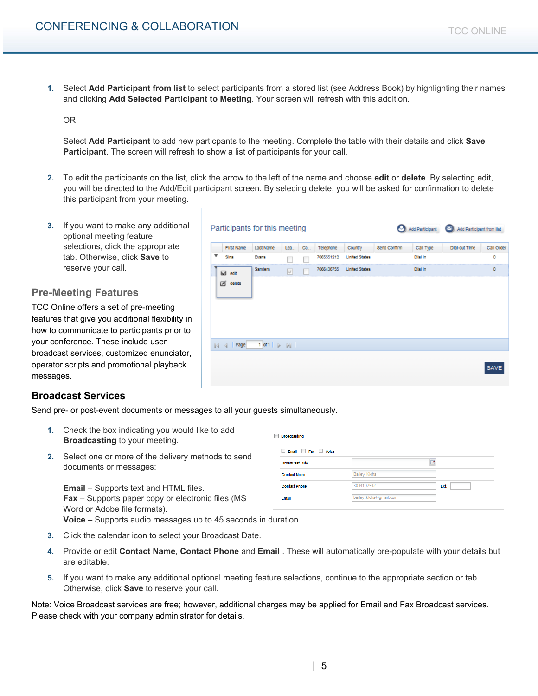**1.** Select **Add Participant from list** to select participants from a stored list (see Address Book) by highlighting their names and clicking **Add Selected Participant to Meeting**. Your screen will refresh with this addition.

OR

Select **Add Participant** to add new particpants to the meeting. Complete the table with their details and click **Save Participant**. The screen will refresh to show a list of participants for your call.

**2.** To edit the participants on the list, click the arrow to the left of the name and choose **edit** or **delete**. By selecting edit, you will be directed to the Add/Edit participant screen. By selecing delete, you will be asked for confirmation to delete this participant from your meeting.

Participants for this meeting

Last Name

Evans

Sanders

Co.,

Lea..

 $\overline{\phantom{a}}$  $\overline{\phantom{a}}$ 

 $\overline{\cup}$ 

Telephone

7065551212

First Name

Sing

**⊠** edit ₫ delete

**3.** If you want to make any additional optional meeting feature selections, click the appropriate tab. Otherwise, click **Save** to reserve your call.

## **Pre-Meeting Features**

TCC Online offers a set of pre-meeting features that give you additional flexib how to communicate to participants p your conference. These include user broadcast services, customized enun operator scripts and promotional play messages.

## **Broadcast Services**

Send pre- or post-event documents o

- **1.** Check the box indicating you would like to add **Broadcasting** to your meeting.
- **2.** Select one or more of the delivery methods to send documents or messages:

**Email** – Supports text and HTML files. **Fax** – Supports paper copy or electronic files (MS Word or Adobe file formats).

| Broadcasting          |                        |             |
|-----------------------|------------------------|-------------|
| Email Fax Voice       |                        |             |
| <b>BroadCast Date</b> |                        | B           |
| <b>Contact Name</b>   | <b>Bailey Klohs</b>    |             |
| <b>Contact Phone</b>  | 3034107532             | <b>Ext.</b> |
| <b>Email</b>          | bailey.klohs@gmail.com |             |

**Voice** – Supports audio messages up to 45 seconds in duration.

- **3.** Click the calendar icon to select your Broadcast Date.
- **4.** Provide or edit **Contact Name**, **Contact Phone** and **Email** . These will automatically pre-populate with your details but are editable.
- **5.** If you want to make any additional optional meeting feature selections, continue to the appropriate section or tab. Otherwise, click **Save** to reserve your call.

Note: Voice Broadcast services are free; however, additional charges may be applied for Email and Fax Broadcast services. Please check with your company administrator for details.

| ١g<br>pility in<br>rior to |                                                                                                    |
|----------------------------|----------------------------------------------------------------------------------------------------|
| ciator,<br>back            | 4 Page<br>$1$ of $1$ $\rightarrow$ $\rightarrow$ $\rightarrow$ $\parallel$<br>$\mathbb{N}$<br>SAVE |
|                            | r messages to all your guests simultaneously.                                                      |

Country

7066436755 United States

United States

Send Confirm

Add Participant C Add Participant from list

**Dial-out Time** 

Call Order

 $\circ$ 

 $\alpha$ 

Call Type

**Dial in** 

Dial in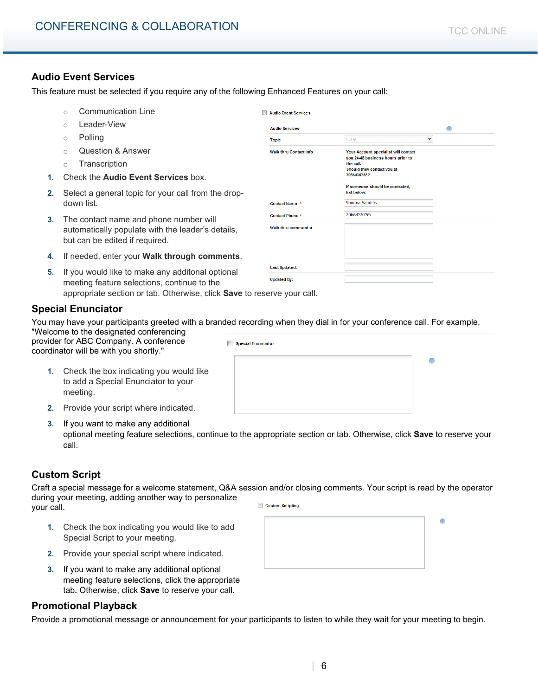$\bullet$ 

 $\overline{\mathbf{v}}$ 

## **Audio Event Services**

This feature must be selected if you require any of the following Enhanced Features on your call:

- o Communication Line
- o Leader-View
- o Polling
- o Question & Answer
- o Transcription
- **1.** Check the **Audio Event Services** box.
- **2.** Select a general topic for your call from the dropdown list.
- **3.** The contact name and phone number will automatically populate with the leader's details, but can be edited if required.
- **4.** If needed, enter your **Walk through comments**.
- **Last Updated: 5.** If you would like to make any additonal optional **Updated By:** meeting feature selections, continue to the appropriate section or tab. Otherwise, click Sa

## **Special Enunciator**

You may have your participants greeted with a branded recording when they dial in for your conference call. For example, "Welcome to the designated conferencing

F

Audio Event Services

**Audio Services** 

Contact Name \*

**Contact Phone Walk thru comments:** 

**Walk thru Contact Info** 

**Topic** 

provider for ABC Company. A conference coordinator will be with you shortly."

- **1.** Check the box indicating you would like to add a Special Enunciator to your meeting.
- **2.** Provide your script where indicated.
- **3.** If you want to make any additional
	- optional meeting feature selections, continue to the appropriate section or tab. Otherwise, click **Save** to reserve your call.

## **Custom Script**

Craft a special message for a welcome statement, Q&A session and/or closing comments. Your script is read by the operator during your meeting, adding another way to personalize Custom Scripting

your call.

- **1.** Check the box indicating you would like to add Special Script to your meeting.
- **2.** Provide your special script where indicated.
- **3.** If you want to make any additional optional meeting feature selections, click the appropriate tab**.** Otherwise, click **Save** to reserve your call.

#### **Promotional Playback**

Provide a promotional message or announcement for your participants to listen to while they wait for your meeting to begin.

| ave to reserve your call.                                       |           |
|-----------------------------------------------------------------|-----------|
| d recording when they dial in for your conference call. For exa |           |
| Special Enunciator                                              |           |
|                                                                 | $\bullet$ |
|                                                                 |           |
|                                                                 |           |

None

the call.

list below: Shonna Sanders

7066436755

Your Account specialist will contact you 24-48 business hours prior to

should they contact you at<br>7066436755? If someone should be contacted,

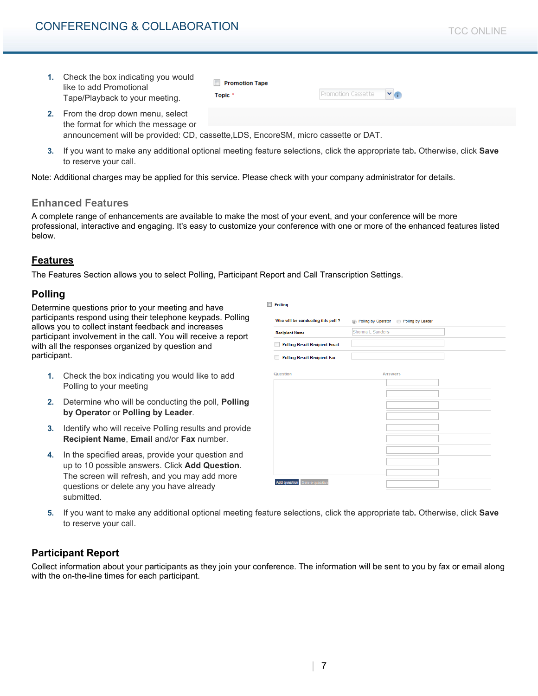## CONFERENCING & COLLABORATION

| Check the box indicating you would<br>like to add Promotional<br>Tape/Playback to your meeting.                                                                | <b>Promotion Tape</b><br>Topic <sup>*</sup> | Promotion Cassette<br>$\mathbf{v}$ |
|----------------------------------------------------------------------------------------------------------------------------------------------------------------|---------------------------------------------|------------------------------------|
| 2. From the drop down menu, select<br>the format for which the message or<br>announcement will be provided: CD, cassette.LDS, EncoreSM, micro cassette or DAT. |                                             |                                    |

**3.** If you want to make any additional optional meeting feature selections, click the appropriate tab**.** Otherwise, click **Save**  to reserve your call.

Note: Additional charges may be applied for this service. Please check with your company administrator for details.

#### **Enhanced Features**

A complete range of enhancements are available to make the most of your event, and your conference will be more professional, interactive and engaging. It's easy to customize your conference with one or more of the enhanced features listed below.

 $\bar{\mathbb{I}}$ 

### **Features**

The Features Section allows you to select Polling, Participant Report and Call Transcription Settings.

#### **Polling**

Determine questions prior to your meeting and have participants respond using their telephone keypads. Polling allows you to collect instant feedback and increases participant involvement in the call. You will receive a report with all the responses organized by question and participant.

- **1.** Check the box indicating you would like to add Polling to your meeting
- **2.** Determine who will be conducting the poll, **Polling by Operator** or **Polling by Leader**.
- **3.** Identify who will receive Polling results and provide **Recipient Name**, **Email** and/or **Fax** number.
- **4.** In the specified areas, provide your question and up to 10 possible answers. Click **Add Question**. The screen will refresh, and you may add more questions or delete any you have already submitted.

| ٦<br>Polling                          |                                               |
|---------------------------------------|-----------------------------------------------|
| Who will be conducting this poll ?    | (a) Polling by Operator (b) Polling by Leader |
| <b>Recipient Name</b>                 | Shonna L Sanders                              |
| <b>Polling Result Recipient Email</b> |                                               |
| <b>Polling Result Recipient Fax</b>   |                                               |
| Question                              | Answers                                       |
|                                       |                                               |
|                                       |                                               |
|                                       |                                               |
|                                       |                                               |
|                                       |                                               |
|                                       |                                               |
|                                       |                                               |
|                                       |                                               |
|                                       |                                               |
| Add question Delete question          |                                               |

**5.** If you want to make any additional optional meeting feature selections, click the appropriate tab**.** Otherwise, click **Save**  to reserve your call.

## **Participant Report**

Collect information about your participants as they join your conference. The information will be sent to you by fax or email along with the on-the-line times for each participant.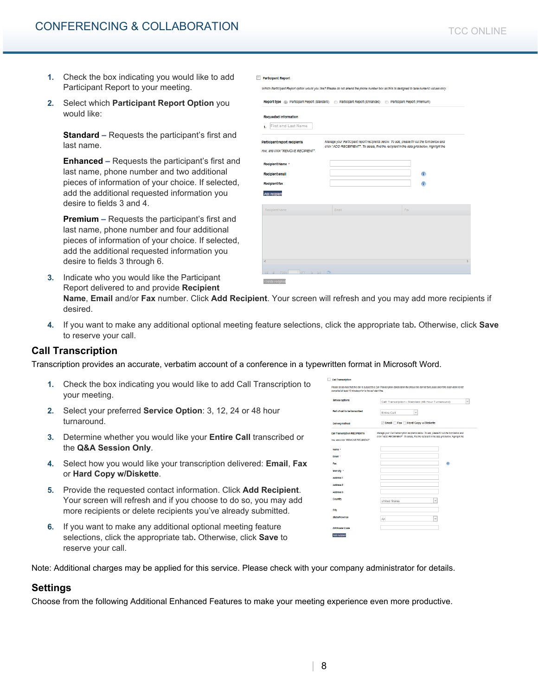- **1.** Check the box indicating you would like to add Participant Report to your meeting.
- **2.** Select which **Participant Report Option** you would like:

**Standard –** Requests the participant's first and last name.

**Enhanced –** Requests the participant's first and last name, phone number and two additional pieces of information of your choice. If selected, add the additional requested information you desire to fields 3 and 4.

**Premium –** Requests the participant's first and last name, phone number and four additional pieces of information of your choice. If selected, add the additional requested information you desire to fields 3 through 6.

**3.** Indicate who you would like the Participant Report delivered to and provide **Recipient** 

| <b>Participant Report</b> |  |
|---------------------------|--|
|                           |  |

it Report option would you like? Please do not amend the phone number box as this is designed to take numeric values only

| Report type (a) Participant Report (Standard) (3) Participant Report (Enhanced) (3) Participant Report (Premium) |       |                                                                                                                                                                                            |              |
|------------------------------------------------------------------------------------------------------------------|-------|--------------------------------------------------------------------------------------------------------------------------------------------------------------------------------------------|--------------|
| <b>Requested Information</b><br>First and Last Name<br>1.                                                        |       |                                                                                                                                                                                            |              |
| Participant report recipients<br>row, and click "REMOVE RECIPIENT".                                              |       | Manage your Participant report recipients below. To add, please fill out the form below and<br>click "ADD RECEIPIENT". To delete, find the recipient in the data grid below, highlight the |              |
| Recipient Name *                                                                                                 |       |                                                                                                                                                                                            |              |
| <b>Recipient email</b>                                                                                           |       |                                                                                                                                                                                            | œ            |
| Recipient fax                                                                                                    |       |                                                                                                                                                                                            | $\mathbf{r}$ |
| Add recipient                                                                                                    |       |                                                                                                                                                                                            |              |
| Recipient Name                                                                                                   | Emall | Fax                                                                                                                                                                                        |              |
|                                                                                                                  |       |                                                                                                                                                                                            |              |
|                                                                                                                  |       |                                                                                                                                                                                            |              |
|                                                                                                                  |       |                                                                                                                                                                                            |              |
|                                                                                                                  |       |                                                                                                                                                                                            |              |
| $\overline{a}$                                                                                                   |       |                                                                                                                                                                                            |              |
| ild at Page 1 of the Nill 20                                                                                     |       |                                                                                                                                                                                            |              |
| Oabste recloten                                                                                                  |       |                                                                                                                                                                                            |              |

**Name**, **Email** and/or **Fax** number. Click **Add Recipient**. Your screen will refresh and you may add more recipients if desired.

**4.** If you want to make any additional optional meeting feature selections, click the appropriate tab**.** Otherwise, click **Save**  to reserve your call.

## **Call Transcription**

Transcription provides an accurate, verbatim account of a conference in a typewritten format in Microsoft Word.

- **1.** Check the box indicating you would like to add Call Transcription to your meeting.
- **2.** Select your preferred **Service Option**: 3, 12, 24 or 48 hour turnaround.
- **3.** Determine whether you would like your **Entire Call** transcribed or the **Q&A Session Only**.
- **4.** Select how you would like your transcription delivered: **Email**, **Fax**  or **Hard Copy w/Diskette**.
- **5.** Provide the requested contact information. Click **Add Recipient**. Your screen will refresh and if you choose to do so, you may add more recipients or delete recipients you've already submitted.
- **6.** If you want to make any additional optional meeting feature selections, click the appropriate tab**.** Otherwise, click **Save** to reserve your call.

| <b>Call Transcription</b>                                   |                                                                                                                                                                                            |
|-------------------------------------------------------------|--------------------------------------------------------------------------------------------------------------------------------------------------------------------------------------------|
| cancelled at least 15 minutes prior to the call start time. | Please be advised that this call is subject to a Call Transcription cancellation fee should the call not take place and if the reservation is not                                          |
| <b>Service options</b>                                      | Call Transcription - Standard (48 Hour Turnaround)<br>÷                                                                                                                                    |
| Part of call to be transcribed                              | Entire Call<br>$\overline{\mathbf{v}}$                                                                                                                                                     |
| Delivery method                                             | Email Fax Hard Copy w/Diskette                                                                                                                                                             |
| <b>Call Transcription RECIPIENTS</b>                        | Manage your Call transcription recipients below. To add, please fill out the form below and<br>citck "ADD RECEIPIENT". To delete, find the recipient in the data grid below, highlight the |
| row, and click "REMOVE RECIPIENT".                          |                                                                                                                                                                                            |
| Name *                                                      |                                                                                                                                                                                            |
| Email +                                                     |                                                                                                                                                                                            |
| Fax                                                         | m                                                                                                                                                                                          |
| Mall Oty *                                                  |                                                                                                                                                                                            |
| Address 1                                                   |                                                                                                                                                                                            |
| Address 2                                                   |                                                                                                                                                                                            |
| Address 3                                                   |                                                                                                                                                                                            |
| Country                                                     | <b>United States</b><br>w                                                                                                                                                                  |
| City                                                        |                                                                                                                                                                                            |
| <b>State/Province</b>                                       | $\bar{\nu}$<br>AK                                                                                                                                                                          |
| <b>ZIP/Postal Code</b>                                      |                                                                                                                                                                                            |
| Add recibient                                               |                                                                                                                                                                                            |

Note: Additional charges may be applied for this service. Please check with your company administrator for details.

## **Settings**

Choose from the following Additional Enhanced Features to make your meeting experience even more productive.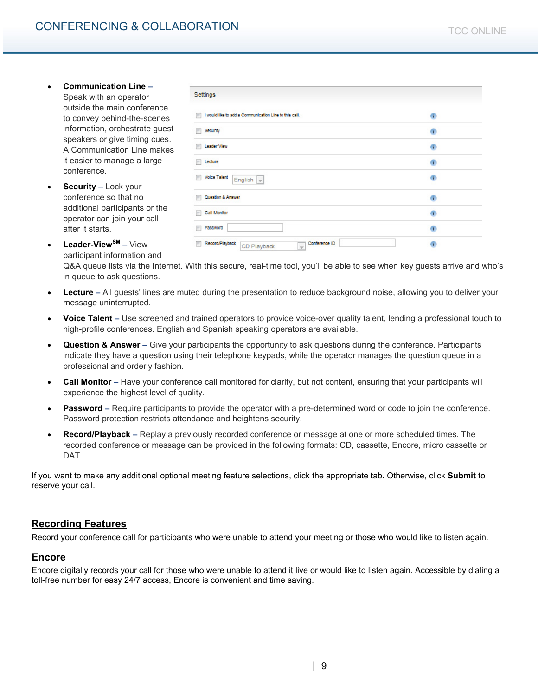- **Communication Line**  Speak with an operator outside the main conference to convey behind-the-scenes information, orchestrate guest speakers or give timing cues. A Communication Line makes it easier to manage a large conference.
- **Security** Lock your conference so that no additional participants or the operator can join your call after it starts.

| I would like to add a Communication Line to this call.<br>m                      | $\mathbf{r}$         |
|----------------------------------------------------------------------------------|----------------------|
| Security<br>×                                                                    | œ                    |
| Leader View                                                                      | $\ddot{\phantom{1}}$ |
| Lecture<br>m                                                                     | œ                    |
| <b>Volce Talent</b><br>m<br>English $\vert \psi \vert$                           | œ                    |
| Question & Answer                                                                | œ                    |
| Call Monitor                                                                     | œ                    |
| Password                                                                         | G)                   |
| Conference ID<br>Record/Playback<br>г<br>CD Playback<br>$\overline{\phantom{m}}$ | n                    |

• **Leader-ViewSM –** View participant information and

Q&A queue lists via the Internet. With this secure, real-time tool, you'll be able to see when key guests arrive and who's in queue to ask questions.

- **Lecture** All guests' lines are muted during the presentation to reduce background noise, allowing you to deliver your message uninterrupted.
- **Voice Talent** Use screened and trained operators to provide voice-over quality talent, lending a professional touch to high-profile conferences. English and Spanish speaking operators are available.
- **Question & Answer** Give your participants the opportunity to ask questions during the conference. Participants indicate they have a question using their telephone keypads, while the operator manages the question queue in a professional and orderly fashion.
- **Call Monitor** Have your conference call monitored for clarity, but not content, ensuring that your participants will experience the highest level of quality.
- **Password** Require participants to provide the operator with a pre-determined word or code to join the conference. Password protection restricts attendance and heightens security.
- **Record/Playback** Replay a previously recorded conference or message at one or more scheduled times. The recorded conference or message can be provided in the following formats: CD, cassette, Encore, micro cassette or DAT.

If you want to make any additional optional meeting feature selections, click the appropriate tab**.** Otherwise, click **Submit** to reserve your call.

## **Recording Features**

Record your conference call for participants who were unable to attend your meeting or those who would like to listen again.

#### **Encore**

Encore digitally records your call for those who were unable to attend it live or would like to listen again. Accessible by dialing a toll-free number for easy 24/7 access, Encore is convenient and time saving.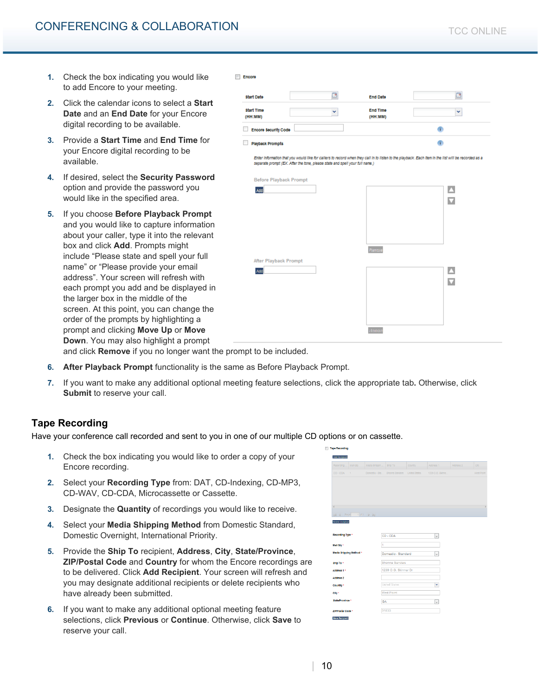- **1.** Check the box indicating you would like to add Encore to your meeting.
- **2.** Click the calendar icons to select a **Start Date** and an **End Date** for your Encore digital recording to be available.
- **3.** Provide a **Start Time** and **End Time** for your Encore digital recording to be available.
- **4.** If desired, select the **Security Password**  option and provide the password you would like in the specified area.
- **5.** If you choose **Before Playback Prompt**  and you would like to capture information about your caller, type it into the relevant box and click **Add**. Prompts might include "Please state and spell your full name" or "Please provide your email address". Your screen will refresh with each prompt you add and be displayed in the larger box in the middle of the screen. At this point, you can change the order of the prompts by highlighting a prompt and clicking **Move Up** or **Move Down**. You may also highlight a prompt

| <b>Start Date</b>            | ø            | <b>End Date</b>            | 6 |  |
|------------------------------|--------------|----------------------------|---|--|
| <b>Start Time</b><br>(HH:MM) | $\checkmark$ | <b>End Time</b><br>(HH:MM) | v |  |
| <b>Encore Security Code</b>  |              |                            |   |  |
| <b>Playback Prompts</b>      |              |                            |   |  |

Enter Information that you would like for callers to record when they call in to listen to the playback. Each Item in the list will be recorded as a separate prompt (EX. After the tone, please state and spell your full name.)



and click **Remove** if you no longer want the prompt to be included.

- **6. After Playback Prompt** functionality is the same as Before Playback Prompt.
- **7.** If you want to make any additional optional meeting feature selections, click the appropriate tab**.** Otherwise, click **Submit** to reserve your call.

**Encore** 

## **Tape Recording**

Have your conference call recorded and sent to you in one of our multiple CD options or on cassette.

- **1.** Check the box indicating you would like to order a copy of your Encore recording.
- **2.** Select your **Recording Type** from: DAT, CD-Indexing, CD-MP3, CD-WAV, CD-CDA, Microcassette or Cassette.
- **3.** Designate the **Quantity** of recordings you would like to receive.
- **4.** Select your **Media Shipping Method** from Domestic Standard, Domestic Overnight, International Priority.
- **5.** Provide the **Ship To** recipient, **Address**, **City**, **State/Province**, **ZIP/Postal Code** and **Country** for whom the Encore recordings are to be delivered. Click **Add Recipient**. Your screen will refresh and you may designate additional recipients or delete recipients who have already been submitted.
- **6.** If you want to make any additional optional meeting feature selections, click **Previous** or **Continue**. Otherwise, click **Save** to reserve your call.

| Recording                               | Mall Cty          | Media Shippin  | Ship To                       | Country.      | Address 1                | Address 2 | City       |
|-----------------------------------------|-------------------|----------------|-------------------------------|---------------|--------------------------|-----------|------------|
| CD-CDA<br>$\rightarrow$                 |                   |                | Domestic - Sta Shonna Sanders | United States | 1239 O.G. Skinne         |           | West Point |
|                                         |                   |                |                               |               |                          |           |            |
|                                         |                   |                |                               |               |                          |           |            |
|                                         |                   |                |                               |               |                          |           |            |
| $\overline{a}$                          |                   |                |                               |               |                          |           |            |
| $ 4 $ 4 Page $ 1 $ of $ 1 $ $ 0 $ $ 1 $ |                   |                |                               |               |                          |           |            |
|                                         |                   |                |                               |               |                          |           |            |
| Delete recipient                        |                   |                |                               |               |                          |           |            |
| Recording Type *                        |                   |                | CD - CDA                      |               | $\overline{\phantom{a}}$ |           |            |
|                                         |                   |                |                               |               |                          |           |            |
| Mail Oty +                              |                   | $\overline{1}$ |                               |               |                          |           |            |
| Media Shipping Method *                 |                   |                | Domestic - Standard           |               | $\overline{\phantom{a}}$ |           |            |
| Ship To *                               |                   |                | Shonna Sanders                |               |                          |           |            |
| Address 1 *                             |                   |                | 1239 O.G. Skinner Dr          |               |                          |           |            |
| Address 2                               |                   |                |                               |               |                          |           |            |
| Country *                               |                   |                | <b>United States</b>          |               | ×                        |           |            |
| city +                                  | <b>West Point</b> |                |                               |               |                          |           |            |
|                                         |                   |                |                               |               |                          |           |            |
|                                         |                   | GA             |                               |               | $\overline{\phantom{a}}$ |           |            |
| <b>State/Province *</b>                 |                   |                |                               |               |                          |           |            |